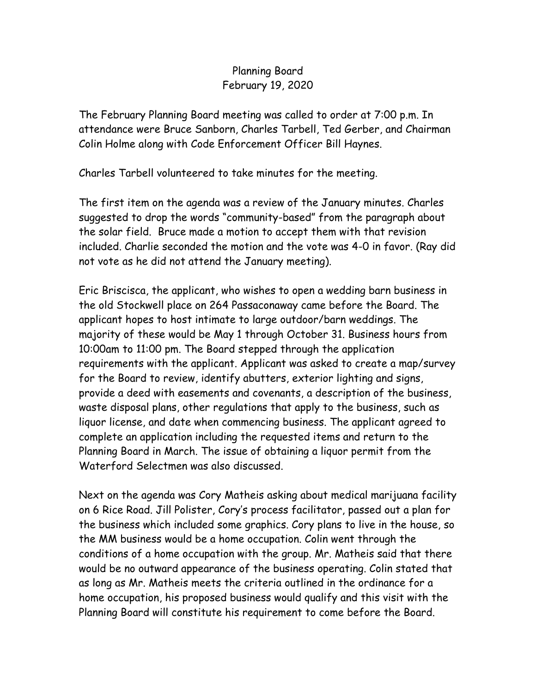## Planning Board February 19, 2020

The February Planning Board meeting was called to order at 7:00 p.m. In attendance were Bruce Sanborn, Charles Tarbell, Ted Gerber, and Chairman Colin Holme along with Code Enforcement Officer Bill Haynes.

Charles Tarbell volunteered to take minutes for the meeting.

The first item on the agenda was a review of the January minutes. Charles suggested to drop the words "community-based" from the paragraph about the solar field. Bruce made a motion to accept them with that revision included. Charlie seconded the motion and the vote was 4-0 in favor. (Ray did not vote as he did not attend the January meeting).

Eric Briscisca, the applicant, who wishes to open a wedding barn business in the old Stockwell place on 264 Passaconaway came before the Board. The applicant hopes to host intimate to large outdoor/barn weddings. The majority of these would be May 1 through October 31. Business hours from 10:00am to 11:00 pm. The Board stepped through the application requirements with the applicant. Applicant was asked to create a map/survey for the Board to review, identify abutters, exterior lighting and signs, provide a deed with easements and covenants, a description of the business, waste disposal plans, other regulations that apply to the business, such as liquor license, and date when commencing business. The applicant agreed to complete an application including the requested items and return to the Planning Board in March. The issue of obtaining a liquor permit from the Waterford Selectmen was also discussed.

Next on the agenda was Cory Matheis asking about medical marijuana facility on 6 Rice Road. Jill Polister, Cory's process facilitator, passed out a plan for the business which included some graphics. Cory plans to live in the house, so the MM business would be a home occupation. Colin went through the conditions of a home occupation with the group. Mr. Matheis said that there would be no outward appearance of the business operating. Colin stated that as long as Mr. Matheis meets the criteria outlined in the ordinance for a home occupation, his proposed business would qualify and this visit with the Planning Board will constitute his requirement to come before the Board.